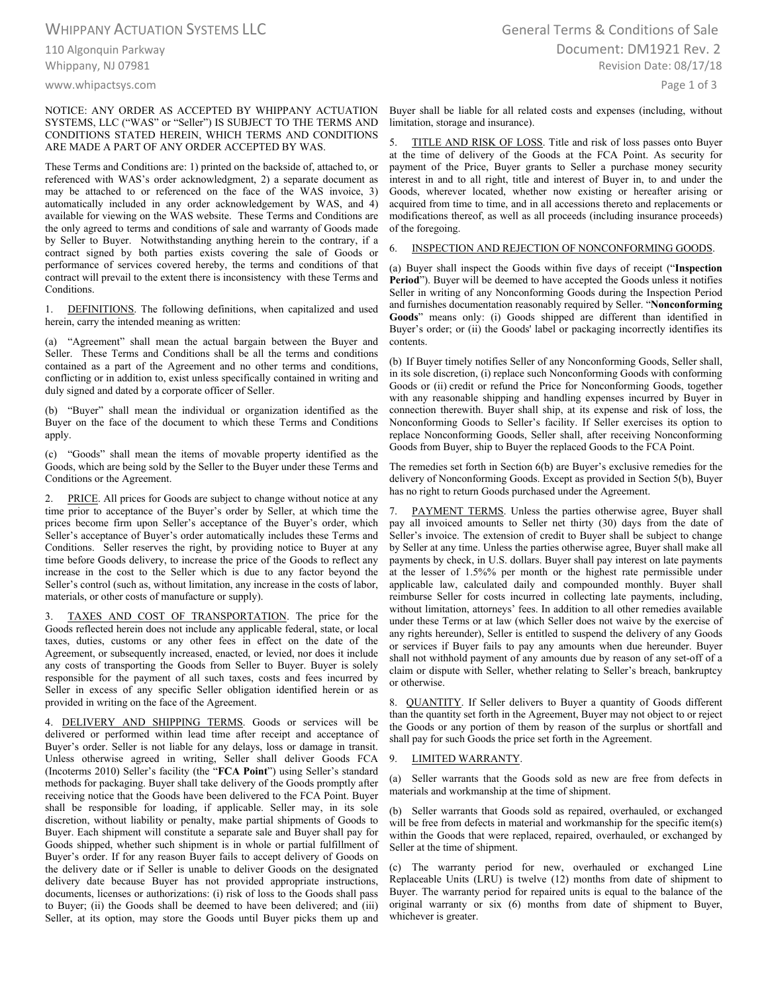# WHIPPANY ACTUATION SYSTEMS LLC General Terms & Conditions of Sale

www.whipactsys.com **Page 1 of 3** 

#### NOTICE: ANY ORDER AS ACCEPTED BY WHIPPANY ACTUATION SYSTEMS, LLC ("WAS" or "Seller") IS SUBJECT TO THE TERMS AND CONDITIONS STATED HEREIN, WHICH TERMS AND CONDITIONS ARE MADE A PART OF ANY ORDER ACCEPTED BY WAS.

These Terms and Conditions are: 1) printed on the backside of, attached to, or referenced with WAS's order acknowledgment, 2) a separate document as may be attached to or referenced on the face of the WAS invoice, 3) automatically included in any order acknowledgement by WAS, and 4) available for viewing on the WAS website. These Terms and Conditions are the only agreed to terms and conditions of sale and warranty of Goods made by Seller to Buyer. Notwithstanding anything herein to the contrary, if a contract signed by both parties exists covering the sale of Goods or performance of services covered hereby, the terms and conditions of that contract will prevail to the extent there is inconsistency with these Terms and Conditions.

1. DEFINITIONS. The following definitions, when capitalized and used herein, carry the intended meaning as written:

(a) "Agreement" shall mean the actual bargain between the Buyer and Seller. These Terms and Conditions shall be all the terms and conditions contained as a part of the Agreement and no other terms and conditions, conflicting or in addition to, exist unless specifically contained in writing and duly signed and dated by a corporate officer of Seller.

(b) "Buyer" shall mean the individual or organization identified as the Buyer on the face of the document to which these Terms and Conditions apply.

(c) "Goods" shall mean the items of movable property identified as the Goods, which are being sold by the Seller to the Buyer under these Terms and Conditions or the Agreement.

2. PRICE. All prices for Goods are subject to change without notice at any time prior to acceptance of the Buyer's order by Seller, at which time the prices become firm upon Seller's acceptance of the Buyer's order, which Seller's acceptance of Buyer's order automatically includes these Terms and Conditions. Seller reserves the right, by providing notice to Buyer at any time before Goods delivery, to increase the price of the Goods to reflect any increase in the cost to the Seller which is due to any factor beyond the Seller's control (such as, without limitation, any increase in the costs of labor, materials, or other costs of manufacture or supply).

3. TAXES AND COST OF TRANSPORTATION. The price for the Goods reflected herein does not include any applicable federal, state, or local taxes, duties, customs or any other fees in effect on the date of the Agreement, or subsequently increased, enacted, or levied, nor does it include any costs of transporting the Goods from Seller to Buyer. Buyer is solely responsible for the payment of all such taxes, costs and fees incurred by Seller in excess of any specific Seller obligation identified herein or as provided in writing on the face of the Agreement.

4. DELIVERY AND SHIPPING TERMS. Goods or services will be delivered or performed within lead time after receipt and acceptance of Buyer's order. Seller is not liable for any delays, loss or damage in transit. Unless otherwise agreed in writing, Seller shall deliver Goods FCA (Incoterms 2010) Seller's facility (the "**FCA Point**") using Seller's standard methods for packaging. Buyer shall take delivery of the Goods promptly after receiving notice that the Goods have been delivered to the FCA Point. Buyer shall be responsible for loading, if applicable. Seller may, in its sole discretion, without liability or penalty, make partial shipments of Goods to Buyer. Each shipment will constitute a separate sale and Buyer shall pay for Goods shipped, whether such shipment is in whole or partial fulfillment of Buyer's order. If for any reason Buyer fails to accept delivery of Goods on the delivery date or if Seller is unable to deliver Goods on the designated delivery date because Buyer has not provided appropriate instructions, documents, licenses or authorizations: (i) risk of loss to the Goods shall pass to Buyer; (ii) the Goods shall be deemed to have been delivered; and (iii) Seller, at its option, may store the Goods until Buyer picks them up and

110 Algonquin Parkway Document: DM1921 Rev. 2 Whippany, NJ 07981 **and 2018 1998 1999 1999 1999 1999 1999 1999 1999 1999 1999 1999 1999 1999 1999 1999 1999 1999 1999 1999 1999 1999 1999 1999 1999**

Buyer shall be liable for all related costs and expenses (including, without limitation, storage and insurance).

5. TITLE AND RISK OF LOSS. Title and risk of loss passes onto Buyer at the time of delivery of the Goods at the FCA Point. As security for payment of the Price, Buyer grants to Seller a purchase money security interest in and to all right, title and interest of Buyer in, to and under the Goods, wherever located, whether now existing or hereafter arising or acquired from time to time, and in all accessions thereto and replacements or modifications thereof, as well as all proceeds (including insurance proceeds) of the foregoing.

### 6. INSPECTION AND REJECTION OF NONCONFORMING GOODS.

(a) Buyer shall inspect the Goods within five days of receipt ("**Inspection Period**"). Buyer will be deemed to have accepted the Goods unless it notifies Seller in writing of any Nonconforming Goods during the Inspection Period and furnishes documentation reasonably required by Seller. "**Nonconforming Goods**" means only: (i) Goods shipped are different than identified in Buyer's order; or (ii) the Goods' label or packaging incorrectly identifies its contents.

(b) If Buyer timely notifies Seller of any Nonconforming Goods, Seller shall, in its sole discretion, (i) replace such Nonconforming Goods with conforming Goods or (ii) credit or refund the Price for Nonconforming Goods, together with any reasonable shipping and handling expenses incurred by Buyer in connection therewith. Buyer shall ship, at its expense and risk of loss, the Nonconforming Goods to Seller's facility. If Seller exercises its option to replace Nonconforming Goods, Seller shall, after receiving Nonconforming Goods from Buyer, ship to Buyer the replaced Goods to the FCA Point.

The remedies set forth in Section 6(b) are Buyer's exclusive remedies for the delivery of Nonconforming Goods. Except as provided in Section 5(b), Buyer has no right to return Goods purchased under the Agreement.

7. PAYMENT TERMS. Unless the parties otherwise agree, Buyer shall pay all invoiced amounts to Seller net thirty (30) days from the date of Seller's invoice. The extension of credit to Buyer shall be subject to change by Seller at any time. Unless the parties otherwise agree, Buyer shall make all payments by check, in U.S. dollars. Buyer shall pay interest on late payments at the lesser of 1.5%% per month or the highest rate permissible under applicable law, calculated daily and compounded monthly. Buyer shall reimburse Seller for costs incurred in collecting late payments, including, without limitation, attorneys' fees. In addition to all other remedies available under these Terms or at law (which Seller does not waive by the exercise of any rights hereunder), Seller is entitled to suspend the delivery of any Goods or services if Buyer fails to pay any amounts when due hereunder. Buyer shall not withhold payment of any amounts due by reason of any set-off of a claim or dispute with Seller, whether relating to Seller's breach, bankruptcy or otherwise.

8. QUANTITY. If Seller delivers to Buyer a quantity of Goods different than the quantity set forth in the Agreement, Buyer may not object to or reject the Goods or any portion of them by reason of the surplus or shortfall and shall pay for such Goods the price set forth in the Agreement.

## 9. LIMITED WARRANTY.

(a) Seller warrants that the Goods sold as new are free from defects in materials and workmanship at the time of shipment.

(b) Seller warrants that Goods sold as repaired, overhauled, or exchanged will be free from defects in material and workmanship for the specific item(s) within the Goods that were replaced, repaired, overhauled, or exchanged by Seller at the time of shipment.

(c) The warranty period for new, overhauled or exchanged Line Replaceable Units (LRU) is twelve (12) months from date of shipment to Buyer. The warranty period for repaired units is equal to the balance of the original warranty or six (6) months from date of shipment to Buyer, whichever is greater.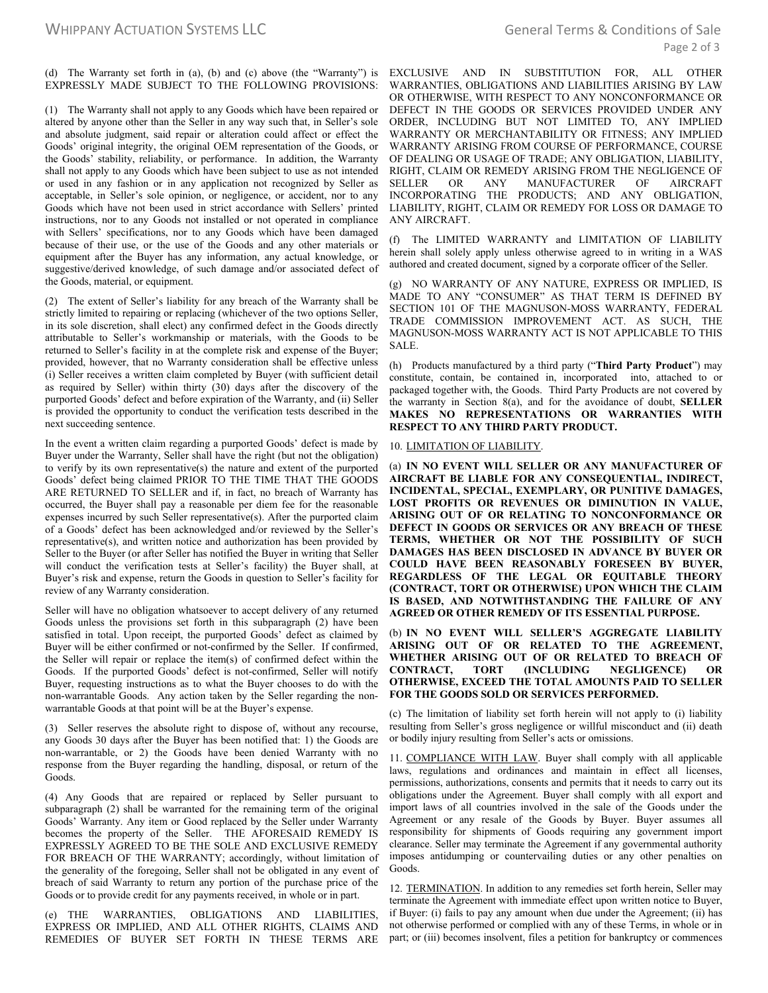EXPRESSLY MADE SUBJECT TO THE FOLLOWING PROVISIONS:

(1) The Warranty shall not apply to any Goods which have been repaired or altered by anyone other than the Seller in any way such that, in Seller's sole and absolute judgment, said repair or alteration could affect or effect the Goods' original integrity, the original OEM representation of the Goods, or the Goods' stability, reliability, or performance. In addition, the Warranty shall not apply to any Goods which have been subject to use as not intended or used in any fashion or in any application not recognized by Seller as acceptable, in Seller's sole opinion, or negligence, or accident, nor to any Goods which have not been used in strict accordance with Sellers' printed instructions, nor to any Goods not installed or not operated in compliance with Sellers' specifications, nor to any Goods which have been damaged because of their use, or the use of the Goods and any other materials or equipment after the Buyer has any information, any actual knowledge, or suggestive/derived knowledge, of such damage and/or associated defect of the Goods, material, or equipment.

(2) The extent of Seller's liability for any breach of the Warranty shall be strictly limited to repairing or replacing (whichever of the two options Seller, in its sole discretion, shall elect) any confirmed defect in the Goods directly attributable to Seller's workmanship or materials, with the Goods to be returned to Seller's facility in at the complete risk and expense of the Buyer; provided, however, that no Warranty consideration shall be effective unless (i) Seller receives a written claim completed by Buyer (with sufficient detail as required by Seller) within thirty (30) days after the discovery of the purported Goods' defect and before expiration of the Warranty, and (ii) Seller is provided the opportunity to conduct the verification tests described in the next succeeding sentence.

In the event a written claim regarding a purported Goods' defect is made by Buyer under the Warranty, Seller shall have the right (but not the obligation) to verify by its own representative(s) the nature and extent of the purported Goods' defect being claimed PRIOR TO THE TIME THAT THE GOODS ARE RETURNED TO SELLER and if, in fact, no breach of Warranty has occurred, the Buyer shall pay a reasonable per diem fee for the reasonable expenses incurred by such Seller representative(s). After the purported claim of a Goods' defect has been acknowledged and/or reviewed by the Seller's representative(s), and written notice and authorization has been provided by Seller to the Buyer (or after Seller has notified the Buyer in writing that Seller will conduct the verification tests at Seller's facility) the Buyer shall, at Buyer's risk and expense, return the Goods in question to Seller's facility for review of any Warranty consideration.

Seller will have no obligation whatsoever to accept delivery of any returned Goods unless the provisions set forth in this subparagraph (2) have been satisfied in total. Upon receipt, the purported Goods' defect as claimed by Buyer will be either confirmed or not-confirmed by the Seller. If confirmed, the Seller will repair or replace the item(s) of confirmed defect within the Goods. If the purported Goods' defect is not-confirmed, Seller will notify Buyer, requesting instructions as to what the Buyer chooses to do with the non-warrantable Goods. Any action taken by the Seller regarding the nonwarrantable Goods at that point will be at the Buyer's expense.

(3) Seller reserves the absolute right to dispose of, without any recourse, any Goods 30 days after the Buyer has been notified that: 1) the Goods are non-warrantable, or 2) the Goods have been denied Warranty with no response from the Buyer regarding the handling, disposal, or return of the Goods.

(4) Any Goods that are repaired or replaced by Seller pursuant to subparagraph (2) shall be warranted for the remaining term of the original Goods' Warranty. Any item or Good replaced by the Seller under Warranty becomes the property of the Seller. THE AFORESAID REMEDY IS EXPRESSLY AGREED TO BE THE SOLE AND EXCLUSIVE REMEDY FOR BREACH OF THE WARRANTY; accordingly, without limitation of the generality of the foregoing, Seller shall not be obligated in any event of breach of said Warranty to return any portion of the purchase price of the Goods or to provide credit for any payments received, in whole or in part.

(e) THE WARRANTIES, OBLIGATIONS AND LIABILITIES, EXPRESS OR IMPLIED, AND ALL OTHER RIGHTS, CLAIMS AND REMEDIES OF BUYER SET FORTH IN THESE TERMS ARE

(d) The Warranty set forth in (a), (b) and (c) above (the "Warranty") is EXCLUSIVE AND IN SUBSTITUTION FOR, ALL OTHER WARRANTIES, OBLIGATIONS AND LIABILITIES ARISING BY LAW OR OTHERWISE, WITH RESPECT TO ANY NONCONFORMANCE OR DEFECT IN THE GOODS OR SERVICES PROVIDED UNDER ANY ORDER, INCLUDING BUT NOT LIMITED TO, ANY IMPLIED WARRANTY OR MERCHANTABILITY OR FITNESS; ANY IMPLIED WARRANTY ARISING FROM COURSE OF PERFORMANCE, COURSE OF DEALING OR USAGE OF TRADE; ANY OBLIGATION, LIABILITY, RIGHT, CLAIM OR REMEDY ARISING FROM THE NEGLIGENCE OF SELLER OR ANY MANUFACTURER OF AIRCRAFT INCORPORATING THE PRODUCTS; AND ANY OBLIGATION, LIABILITY, RIGHT, CLAIM OR REMEDY FOR LOSS OR DAMAGE TO ANY AIRCRAFT.

> (f) The LIMITED WARRANTY and LIMITATION OF LIABILITY herein shall solely apply unless otherwise agreed to in writing in a WAS authored and created document, signed by a corporate officer of the Seller.

> (g) NO WARRANTY OF ANY NATURE, EXPRESS OR IMPLIED, IS MADE TO ANY "CONSUMER" AS THAT TERM IS DEFINED BY SECTION 101 OF THE MAGNUSON-MOSS WARRANTY, FEDERAL TRADE COMMISSION IMPROVEMENT ACT. AS SUCH, THE MAGNUSON-MOSS WARRANTY ACT IS NOT APPLICABLE TO THIS SALE.

> (h) Products manufactured by a third party ("**Third Party Product**") may constitute, contain, be contained in, incorporated into, attached to or packaged together with, the Goods. Third Party Products are not covered by the warranty in Section 8(a), and for the avoidance of doubt, **SELLER MAKES NO REPRESENTATIONS OR WARRANTIES WITH RESPECT TO ANY THIRD PARTY PRODUCT.**

#### 10. LIMITATION OF LIABILITY.

(a) **IN NO EVENT WILL SELLER OR ANY MANUFACTURER OF AIRCRAFT BE LIABLE FOR ANY CONSEQUENTIAL, INDIRECT, INCIDENTAL, SPECIAL, EXEMPLARY, OR PUNITIVE DAMAGES, LOST PROFITS OR REVENUES OR DIMINUTION IN VALUE, ARISING OUT OF OR RELATING TO NONCONFORMANCE OR DEFECT IN GOODS OR SERVICES OR ANY BREACH OF THESE TERMS, WHETHER OR NOT THE POSSIBILITY OF SUCH DAMAGES HAS BEEN DISCLOSED IN ADVANCE BY BUYER OR COULD HAVE BEEN REASONABLY FORESEEN BY BUYER, REGARDLESS OF THE LEGAL OR EQUITABLE THEORY (CONTRACT, TORT OR OTHERWISE) UPON WHICH THE CLAIM IS BASED, AND NOTWITHSTANDING THE FAILURE OF ANY AGREED OR OTHER REMEDY OF ITS ESSENTIAL PURPOSE.**

(b) **IN NO EVENT WILL SELLER'S AGGREGATE LIABILITY ARISING OUT OF OR RELATED TO THE AGREEMENT, WHETHER ARISING OUT OF OR RELATED TO BREACH OF CONTRACT, TORT (INCLUDING NEGLIGENCE) OR OTHERWISE, EXCEED THE TOTAL AMOUNTS PAID TO SELLER FOR THE GOODS SOLD OR SERVICES PERFORMED.**

(c) The limitation of liability set forth herein will not apply to (i) liability resulting from Seller's gross negligence or willful misconduct and (ii) death or bodily injury resulting from Seller's acts or omissions.

11. COMPLIANCE WITH LAW. Buyer shall comply with all applicable laws, regulations and ordinances and maintain in effect all licenses, permissions, authorizations, consents and permits that it needs to carry out its obligations under the Agreement. Buyer shall comply with all export and import laws of all countries involved in the sale of the Goods under the Agreement or any resale of the Goods by Buyer. Buyer assumes all responsibility for shipments of Goods requiring any government import clearance. Seller may terminate the Agreement if any governmental authority imposes antidumping or countervailing duties or any other penalties on Goods.

12. TERMINATION. In addition to any remedies set forth herein, Seller may terminate the Agreement with immediate effect upon written notice to Buyer, if Buyer: (i) fails to pay any amount when due under the Agreement; (ii) has not otherwise performed or complied with any of these Terms, in whole or in part; or (iii) becomes insolvent, files a petition for bankruptcy or commences